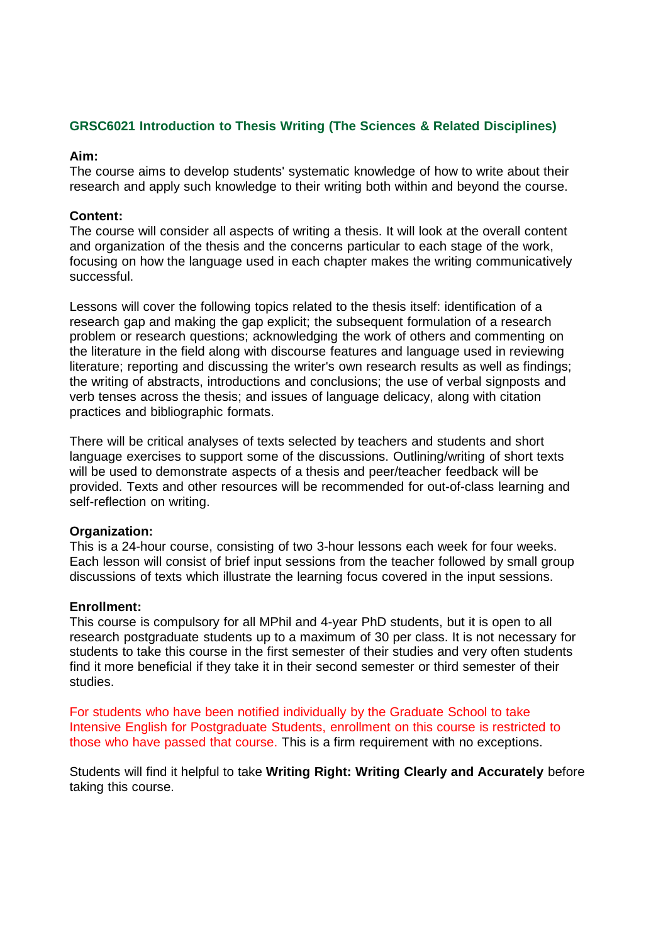# **GRSC6021 Introduction to Thesis Writing (The Sciences & Related Disciplines)**

### **Aim:**

The course aims to develop students' systematic knowledge of how to write about their research and apply such knowledge to their writing both within and beyond the course.

## **Content:**

The course will consider all aspects of writing a thesis. It will look at the overall content and organization of the thesis and the concerns particular to each stage of the work, focusing on how the language used in each chapter makes the writing communicatively successful.

Lessons will cover the following topics related to the thesis itself: identification of a research gap and making the gap explicit; the subsequent formulation of a research problem or research questions; acknowledging the work of others and commenting on the literature in the field along with discourse features and language used in reviewing literature; reporting and discussing the writer's own research results as well as findings; the writing of abstracts, introductions and conclusions; the use of verbal signposts and verb tenses across the thesis; and issues of language delicacy, along with citation practices and bibliographic formats.

There will be critical analyses of texts selected by teachers and students and short language exercises to support some of the discussions. Outlining/writing of short texts will be used to demonstrate aspects of a thesis and peer/teacher feedback will be provided. Texts and other resources will be recommended for out-of-class learning and self-reflection on writing.

#### **Organization:**

This is a 24-hour course, consisting of two 3-hour lessons each week for four weeks. Each lesson will consist of brief input sessions from the teacher followed by small group discussions of texts which illustrate the learning focus covered in the input sessions.

#### **Enrollment:**

This course is compulsory for all MPhil and 4-year PhD students, but it is open to all research postgraduate students up to a maximum of 30 per class. It is not necessary for students to take this course in the first semester of their studies and very often students find it more beneficial if they take it in their second semester or third semester of their studies.

For students who have been notified individually by the Graduate School to take Intensive English for Postgraduate Students, enrollment on this course is restricted to those who have passed that course. This is a firm requirement with no exceptions.

Students will find it helpful to take **Writing Right: Writing Clearly and Accurately** before taking this course.